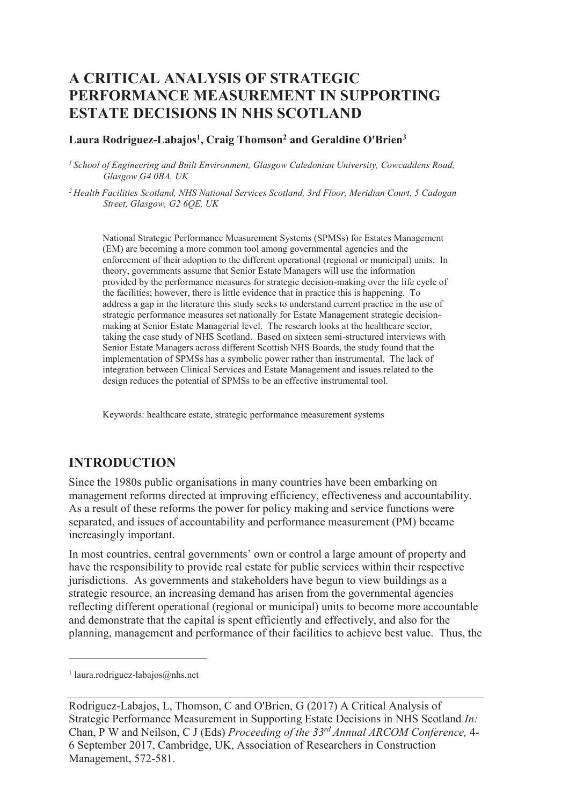# **A CRITICAL ANALYSIS OF STRATEGIC PERFORMANCE MEASUREMENT IN SUPPORTING ESTATE DECISIONS IN NHS SCOTLAND**

**Laura Rodriguez-Labajos<sup>1</sup> , Craig Thomson<sup>2</sup> and Geraldine O'Brien<sup>3</sup>**

*<sup>1</sup>School of Engineering and Built Environment, Glasgow Caledonian University, Cowcaddens Road, Glasgow G4 0BA, UK* 

*<sup>2</sup>Health Facilities Scotland, NHS National Services Scotland, 3rd Floor, Meridian Court, 5 Cadogan Street, Glasgow, G2 6QE, UK* 

National Strategic Performance Measurement Systems (SPMSs) for Estates Management (EM) are becoming a more common tool among governmental agencies and the enforcement of their adoption to the different operational (regional or municipal) units. In theory, governments assume that Senior Estate Managers will use the information provided by the performance measures for strategic decision-making over the life cycle of the facilities; however, there is little evidence that in practice this is happening. To address a gap in the literature this study seeks to understand current practice in the use of strategic performance measures set nationally for Estate Management strategic decisionmaking at Senior Estate Managerial level. The research looks at the healthcare sector, taking the case study of NHS Scotland. Based on sixteen semi-structured interviews with Senior Estate Managers across different Scottish NHS Boards, the study found that the implementation of SPMSs has a symbolic power rather than instrumental. The lack of integration between Clinical Services and Estate Management and issues related to the design reduces the potential of SPMSs to be an effective instrumental tool.

Keywords: healthcare estate, strategic performance measurement systems

## **INTRODUCTION**

Since the 1980s public organisations in many countries have been embarking on management reforms directed at improving efficiency, effectiveness and accountability. As a result of these reforms the power for policy making and service functions were separated, and issues of accountability and performance measurement (PM) became increasingly important.

In most countries, central governments' own or control a large amount of property and have the responsibility to provide real estate for public services within their respective jurisdictions. As governments and stakeholders have begun to view buildings as a strategic resource, an increasing demand has arisen from the governmental agencies reflecting different operational (regional or municipal) units to become more accountable and demonstrate that the capital is spent efficiently and effectively, and also for the planning, management and performance of their facilities to achieve best value. Thus, the

 $\overline{a}$ 

<sup>1</sup> laura.rodriguez-labajos@nhs.net

Rodriguez-Labajos, L, Thomson, C and O'Brien, G (2017) A Critical Analysis of Strategic Performance Measurement in Supporting Estate Decisions in NHS Scotland *In:*  Chan, P W and Neilson, C J (Eds) *Proceeding of the 33rd Annual ARCOM Conference,* 4- 6 September 2017, Cambridge, UK, Association of Researchers in Construction Management, 572-581.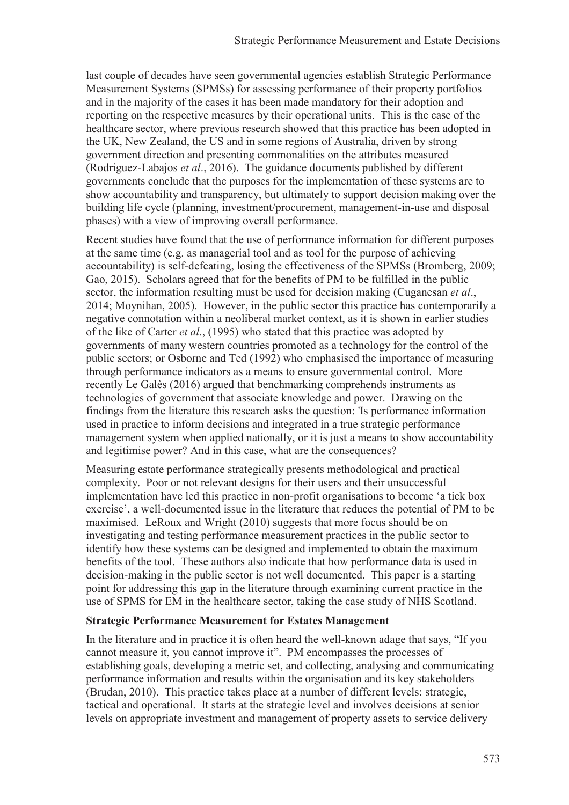last couple of decades have seen governmental agencies establish Strategic Performance Measurement Systems (SPMSs) for assessing performance of their property portfolios and in the majority of the cases it has been made mandatory for their adoption and reporting on the respective measures by their operational units. This is the case of the healthcare sector, where previous research showed that this practice has been adopted in the UK, New Zealand, the US and in some regions of Australia, driven by strong government direction and presenting commonalities on the attributes measured (Rodriguez-Labajos *et al*., 2016). The guidance documents published by different governments conclude that the purposes for the implementation of these systems are to show accountability and transparency, but ultimately to support decision making over the building life cycle (planning, investment/procurement, management-in-use and disposal phases) with a view of improving overall performance.

Recent studies have found that the use of performance information for different purposes at the same time (e.g. as managerial tool and as tool for the purpose of achieving accountability) is self-defeating, losing the effectiveness of the SPMSs (Bromberg, 2009; Gao, 2015). Scholars agreed that for the benefits of PM to be fulfilled in the public sector, the information resulting must be used for decision making (Cuganesan *et al*., 2014; Moynihan, 2005). However, in the public sector this practice has contemporarily a negative connotation within a neoliberal market context, as it is shown in earlier studies of the like of Carter *et al*., (1995) who stated that this practice was adopted by governments of many western countries promoted as a technology for the control of the public sectors; or Osborne and Ted (1992) who emphasised the importance of measuring through performance indicators as a means to ensure governmental control. More recently Le Galès (2016) argued that benchmarking comprehends instruments as technologies of government that associate knowledge and power. Drawing on the findings from the literature this research asks the question: 'Is performance information used in practice to inform decisions and integrated in a true strategic performance management system when applied nationally, or it is just a means to show accountability and legitimise power? And in this case, what are the consequences?

Measuring estate performance strategically presents methodological and practical complexity. Poor or not relevant designs for their users and their unsuccessful implementation have led this practice in non-profit organisations to become 'a tick box exercise', a well-documented issue in the literature that reduces the potential of PM to be maximised. LeRoux and Wright (2010) suggests that more focus should be on investigating and testing performance measurement practices in the public sector to identify how these systems can be designed and implemented to obtain the maximum benefits of the tool. These authors also indicate that how performance data is used in decision-making in the public sector is not well documented. This paper is a starting point for addressing this gap in the literature through examining current practice in the use of SPMS for EM in the healthcare sector, taking the case study of NHS Scotland.

### **Strategic Performance Measurement for Estates Management**

In the literature and in practice it is often heard the well-known adage that says, "If you cannot measure it, you cannot improve it". PM encompasses the processes of establishing goals, developing a metric set, and collecting, analysing and communicating performance information and results within the organisation and its key stakeholders (Brudan, 2010). This practice takes place at a number of different levels: strategic, tactical and operational. It starts at the strategic level and involves decisions at senior levels on appropriate investment and management of property assets to service delivery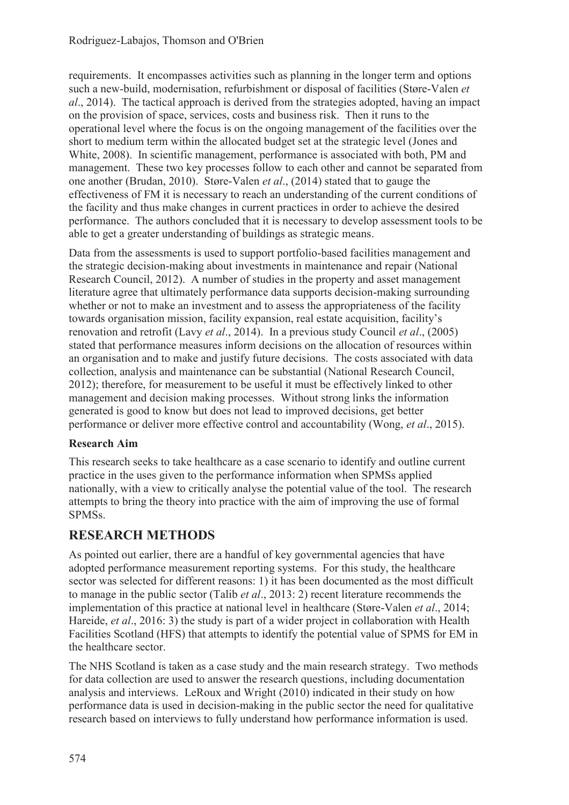requirements. It encompasses activities such as planning in the longer term and options such a new-build, modernisation, refurbishment or disposal of facilities (Støre-Valen *et al*., 2014). The tactical approach is derived from the strategies adopted, having an impact on the provision of space, services, costs and business risk. Then it runs to the operational level where the focus is on the ongoing management of the facilities over the short to medium term within the allocated budget set at the strategic level (Jones and White, 2008). In scientific management, performance is associated with both, PM and management. These two key processes follow to each other and cannot be separated from one another (Brudan, 2010). Støre-Valen *et al*., (2014) stated that to gauge the effectiveness of FM it is necessary to reach an understanding of the current conditions of the facility and thus make changes in current practices in order to achieve the desired performance. The authors concluded that it is necessary to develop assessment tools to be able to get a greater understanding of buildings as strategic means.

Data from the assessments is used to support portfolio-based facilities management and the strategic decision-making about investments in maintenance and repair (National Research Council, 2012). A number of studies in the property and asset management literature agree that ultimately performance data supports decision-making surrounding whether or not to make an investment and to assess the appropriateness of the facility towards organisation mission, facility expansion, real estate acquisition, facility's renovation and retrofit (Lavy *et al*., 2014). In a previous study Council *et al*., (2005) stated that performance measures inform decisions on the allocation of resources within an organisation and to make and justify future decisions. The costs associated with data collection, analysis and maintenance can be substantial (National Research Council, 2012); therefore, for measurement to be useful it must be effectively linked to other management and decision making processes. Without strong links the information generated is good to know but does not lead to improved decisions, get better performance or deliver more effective control and accountability (Wong, *et al*., 2015).

## **Research Aim**

This research seeks to take healthcare as a case scenario to identify and outline current practice in the uses given to the performance information when SPMSs applied nationally, with a view to critically analyse the potential value of the tool. The research attempts to bring the theory into practice with the aim of improving the use of formal SPMSs.

## **RESEARCH METHODS**

As pointed out earlier, there are a handful of key governmental agencies that have adopted performance measurement reporting systems. For this study, the healthcare sector was selected for different reasons: 1) it has been documented as the most difficult to manage in the public sector (Talib *et al*., 2013: 2) recent literature recommends the implementation of this practice at national level in healthcare (Støre-Valen *et al*., 2014; Hareide, *et al*., 2016: 3) the study is part of a wider project in collaboration with Health Facilities Scotland (HFS) that attempts to identify the potential value of SPMS for EM in the healthcare sector.

The NHS Scotland is taken as a case study and the main research strategy. Two methods for data collection are used to answer the research questions, including documentation analysis and interviews. LeRoux and Wright (2010) indicated in their study on how performance data is used in decision-making in the public sector the need for qualitative research based on interviews to fully understand how performance information is used.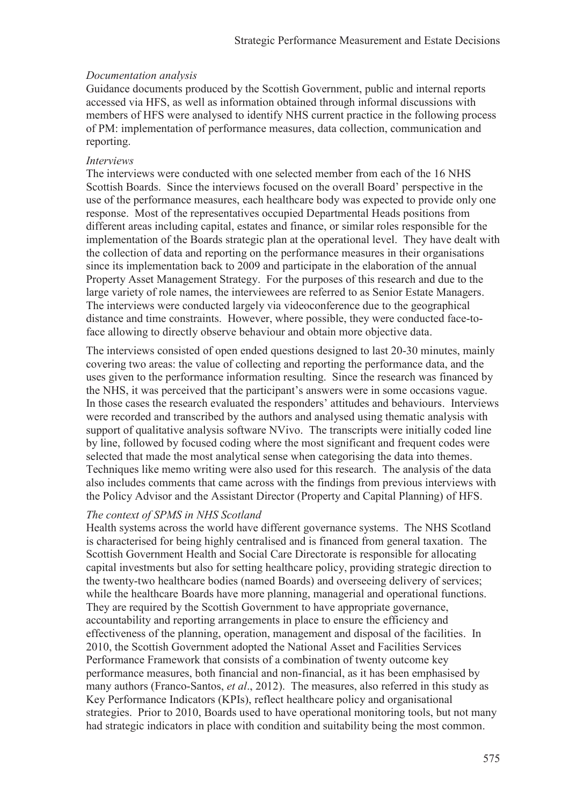#### *Documentation analysis*

Guidance documents produced by the Scottish Government, public and internal reports accessed via HFS, as well as information obtained through informal discussions with members of HFS were analysed to identify NHS current practice in the following process of PM: implementation of performance measures, data collection, communication and reporting.

#### *Interviews*

The interviews were conducted with one selected member from each of the 16 NHS Scottish Boards. Since the interviews focused on the overall Board' perspective in the use of the performance measures, each healthcare body was expected to provide only one response. Most of the representatives occupied Departmental Heads positions from different areas including capital, estates and finance, or similar roles responsible for the implementation of the Boards strategic plan at the operational level. They have dealt with the collection of data and reporting on the performance measures in their organisations since its implementation back to 2009 and participate in the elaboration of the annual Property Asset Management Strategy. For the purposes of this research and due to the large variety of role names, the interviewees are referred to as Senior Estate Managers. The interviews were conducted largely via videoconference due to the geographical distance and time constraints. However, where possible, they were conducted face-toface allowing to directly observe behaviour and obtain more objective data.

The interviews consisted of open ended questions designed to last 20-30 minutes, mainly covering two areas: the value of collecting and reporting the performance data, and the uses given to the performance information resulting. Since the research was financed by the NHS, it was perceived that the participant's answers were in some occasions vague. In those cases the research evaluated the responders' attitudes and behaviours. Interviews were recorded and transcribed by the authors and analysed using thematic analysis with support of qualitative analysis software NVivo. The transcripts were initially coded line by line, followed by focused coding where the most significant and frequent codes were selected that made the most analytical sense when categorising the data into themes. Techniques like memo writing were also used for this research. The analysis of the data also includes comments that came across with the findings from previous interviews with the Policy Advisor and the Assistant Director (Property and Capital Planning) of HFS.

#### *The context of SPMS in NHS Scotland*

Health systems across the world have different governance systems. The NHS Scotland is characterised for being highly centralised and is financed from general taxation. The Scottish Government Health and Social Care Directorate is responsible for allocating capital investments but also for setting healthcare policy, providing strategic direction to the twenty-two healthcare bodies (named Boards) and overseeing delivery of services; while the healthcare Boards have more planning, managerial and operational functions. They are required by the Scottish Government to have appropriate governance, accountability and reporting arrangements in place to ensure the efficiency and effectiveness of the planning, operation, management and disposal of the facilities. In 2010, the Scottish Government adopted the National Asset and Facilities Services Performance Framework that consists of a combination of twenty outcome key performance measures, both financial and non-financial, as it has been emphasised by many authors (Franco-Santos, *et al*., 2012). The measures, also referred in this study as Key Performance Indicators (KPIs), reflect healthcare policy and organisational strategies. Prior to 2010, Boards used to have operational monitoring tools, but not many had strategic indicators in place with condition and suitability being the most common.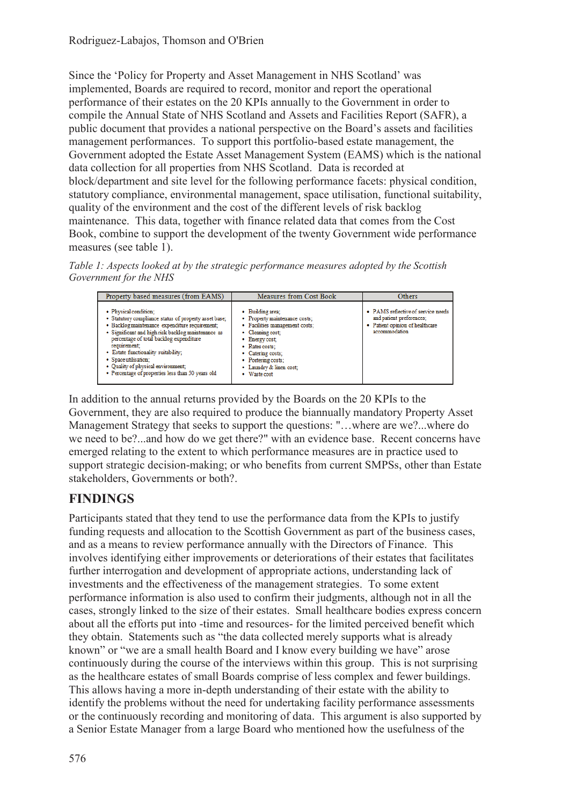Since the 'Policy for Property and Asset Management in NHS Scotland' was implemented, Boards are required to record, monitor and report the operational performance of their estates on the 20 KPIs annually to the Government in order to compile the Annual State of NHS Scotland and Assets and Facilities Report (SAFR), a public document that provides a national perspective on the Board's assets and facilities management performances. To support this portfolio-based estate management, the Government adopted the Estate Asset Management System (EAMS) which is the national data collection for all properties from NHS Scotland. Data is recorded at block/department and site level for the following performance facets: physical condition, statutory compliance, environmental management, space utilisation, functional suitability, quality of the environment and the cost of the different levels of risk backlog maintenance. This data, together with finance related data that comes from the Cost Book, combine to support the development of the twenty Government wide performance measures (see table 1).

*Table 1: Aspects looked at by the strategic performance measures adopted by the Scottish Government for the NHS* 

| Property based measures (from EAMS)                                                                                                                                                                                                                                                                                                                                                                         | Measures from Cost Book                                                                                                                                                                                                                   | Others                                                                                                             |
|-------------------------------------------------------------------------------------------------------------------------------------------------------------------------------------------------------------------------------------------------------------------------------------------------------------------------------------------------------------------------------------------------------------|-------------------------------------------------------------------------------------------------------------------------------------------------------------------------------------------------------------------------------------------|--------------------------------------------------------------------------------------------------------------------|
| · Physical condition;<br>· Statutory compliance status of property asset base;<br>· Backlog maintenance expenditure requirement;<br>· Significant and high risk backlog maintenance as<br>percentage of total backlog expenditure<br>requirement:<br>· Estate functionality suitability;<br>· Space utilisation;<br>· Quality of physical environment;<br>• Percentage of properties less than 50 years old | • Building area:<br>• Property maintenance costs;<br>· Facilities management costs;<br>• Cleaning cost;<br>• Energy cost;<br>• Rates costs:<br>• Catering costs;<br>• Portering costs;<br>• Laundry & linen cost;<br>$\bullet$ Waste cost | • PAMS reflective of service needs<br>and patient preferences;<br>· Patient opinion of healthcare<br>accommodation |

In addition to the annual returns provided by the Boards on the 20 KPIs to the Government, they are also required to produce the biannually mandatory Property Asset Management Strategy that seeks to support the questions: "…where are we?...where do we need to be?...and how do we get there?" with an evidence base. Recent concerns have emerged relating to the extent to which performance measures are in practice used to support strategic decision-making; or who benefits from current SMPSs, other than Estate stakeholders, Governments or both?.

# **FINDINGS**

Participants stated that they tend to use the performance data from the KPIs to justify funding requests and allocation to the Scottish Government as part of the business cases, and as a means to review performance annually with the Directors of Finance. This involves identifying either improvements or deteriorations of their estates that facilitates further interrogation and development of appropriate actions, understanding lack of investments and the effectiveness of the management strategies. To some extent performance information is also used to confirm their judgments, although not in all the cases, strongly linked to the size of their estates. Small healthcare bodies express concern about all the efforts put into -time and resources- for the limited perceived benefit which they obtain. Statements such as "the data collected merely supports what is already known" or "we are a small health Board and I know every building we have" arose continuously during the course of the interviews within this group. This is not surprising as the healthcare estates of small Boards comprise of less complex and fewer buildings. This allows having a more in-depth understanding of their estate with the ability to identify the problems without the need for undertaking facility performance assessments or the continuously recording and monitoring of data. This argument is also supported by a Senior Estate Manager from a large Board who mentioned how the usefulness of the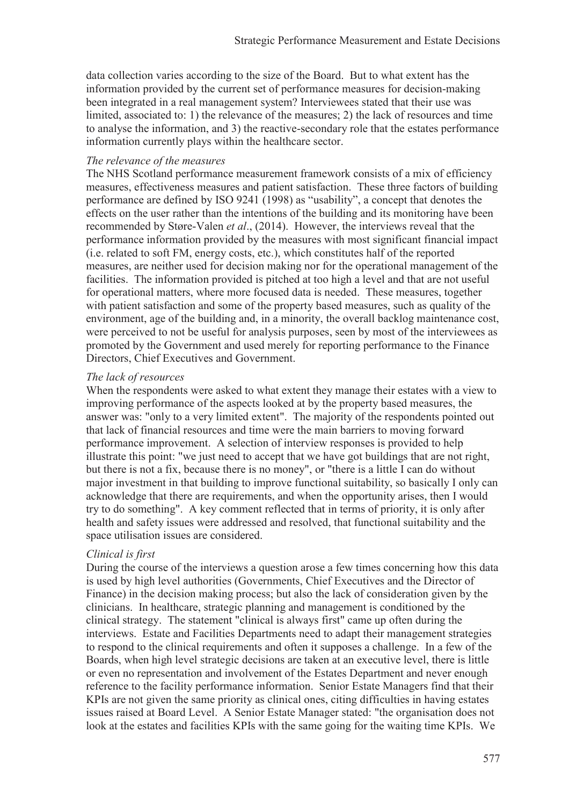data collection varies according to the size of the Board. But to what extent has the information provided by the current set of performance measures for decision-making been integrated in a real management system? Interviewees stated that their use was limited, associated to: 1) the relevance of the measures; 2) the lack of resources and time to analyse the information, and 3) the reactive-secondary role that the estates performance information currently plays within the healthcare sector.

#### *The relevance of the measures*

The NHS Scotland performance measurement framework consists of a mix of efficiency measures, effectiveness measures and patient satisfaction. These three factors of building performance are defined by ISO 9241 (1998) as "usability", a concept that denotes the effects on the user rather than the intentions of the building and its monitoring have been recommended by Støre-Valen *et al*., (2014). However, the interviews reveal that the performance information provided by the measures with most significant financial impact (i.e. related to soft FM, energy costs, etc.), which constitutes half of the reported measures, are neither used for decision making nor for the operational management of the facilities. The information provided is pitched at too high a level and that are not useful for operational matters, where more focused data is needed. These measures, together with patient satisfaction and some of the property based measures, such as quality of the environment, age of the building and, in a minority, the overall backlog maintenance cost, were perceived to not be useful for analysis purposes, seen by most of the interviewees as promoted by the Government and used merely for reporting performance to the Finance Directors, Chief Executives and Government.

#### *The lack of resources*

When the respondents were asked to what extent they manage their estates with a view to improving performance of the aspects looked at by the property based measures, the answer was: "only to a very limited extent". The majority of the respondents pointed out that lack of financial resources and time were the main barriers to moving forward performance improvement. A selection of interview responses is provided to help illustrate this point: "we just need to accept that we have got buildings that are not right, but there is not a fix, because there is no money", or "there is a little I can do without major investment in that building to improve functional suitability, so basically I only can acknowledge that there are requirements, and when the opportunity arises, then I would try to do something". A key comment reflected that in terms of priority, it is only after health and safety issues were addressed and resolved, that functional suitability and the space utilisation issues are considered.

#### *Clinical is first*

During the course of the interviews a question arose a few times concerning how this data is used by high level authorities (Governments, Chief Executives and the Director of Finance) in the decision making process; but also the lack of consideration given by the clinicians. In healthcare, strategic planning and management is conditioned by the clinical strategy. The statement "clinical is always first" came up often during the interviews. Estate and Facilities Departments need to adapt their management strategies to respond to the clinical requirements and often it supposes a challenge. In a few of the Boards, when high level strategic decisions are taken at an executive level, there is little or even no representation and involvement of the Estates Department and never enough reference to the facility performance information. Senior Estate Managers find that their KPIs are not given the same priority as clinical ones, citing difficulties in having estates issues raised at Board Level. A Senior Estate Manager stated: "the organisation does not look at the estates and facilities KPIs with the same going for the waiting time KPIs. We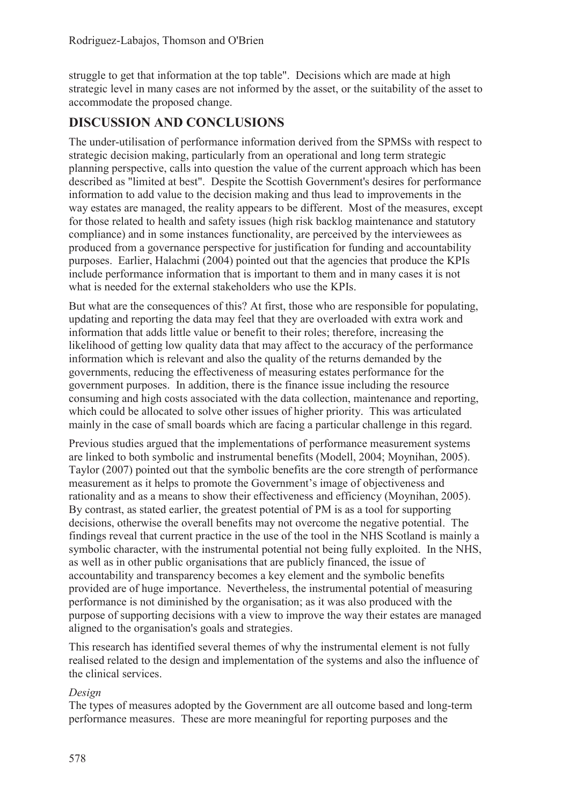struggle to get that information at the top table". Decisions which are made at high strategic level in many cases are not informed by the asset, or the suitability of the asset to accommodate the proposed change.

## **DISCUSSION AND CONCLUSIONS**

The under-utilisation of performance information derived from the SPMSs with respect to strategic decision making, particularly from an operational and long term strategic planning perspective, calls into question the value of the current approach which has been described as "limited at best". Despite the Scottish Government's desires for performance information to add value to the decision making and thus lead to improvements in the way estates are managed, the reality appears to be different. Most of the measures, except for those related to health and safety issues (high risk backlog maintenance and statutory compliance) and in some instances functionality, are perceived by the interviewees as produced from a governance perspective for justification for funding and accountability purposes. Earlier, Halachmi (2004) pointed out that the agencies that produce the KPIs include performance information that is important to them and in many cases it is not what is needed for the external stakeholders who use the KPIs.

But what are the consequences of this? At first, those who are responsible for populating, updating and reporting the data may feel that they are overloaded with extra work and information that adds little value or benefit to their roles; therefore, increasing the likelihood of getting low quality data that may affect to the accuracy of the performance information which is relevant and also the quality of the returns demanded by the governments, reducing the effectiveness of measuring estates performance for the government purposes. In addition, there is the finance issue including the resource consuming and high costs associated with the data collection, maintenance and reporting, which could be allocated to solve other issues of higher priority. This was articulated mainly in the case of small boards which are facing a particular challenge in this regard.

Previous studies argued that the implementations of performance measurement systems are linked to both symbolic and instrumental benefits (Modell, 2004; Moynihan, 2005). Taylor (2007) pointed out that the symbolic benefits are the core strength of performance measurement as it helps to promote the Government's image of objectiveness and rationality and as a means to show their effectiveness and efficiency (Moynihan, 2005). By contrast, as stated earlier, the greatest potential of PM is as a tool for supporting decisions, otherwise the overall benefits may not overcome the negative potential. The findings reveal that current practice in the use of the tool in the NHS Scotland is mainly a symbolic character, with the instrumental potential not being fully exploited. In the NHS, as well as in other public organisations that are publicly financed, the issue of accountability and transparency becomes a key element and the symbolic benefits provided are of huge importance. Nevertheless, the instrumental potential of measuring performance is not diminished by the organisation; as it was also produced with the purpose of supporting decisions with a view to improve the way their estates are managed aligned to the organisation's goals and strategies.

This research has identified several themes of why the instrumental element is not fully realised related to the design and implementation of the systems and also the influence of the clinical services.

## *Design*

The types of measures adopted by the Government are all outcome based and long-term performance measures. These are more meaningful for reporting purposes and the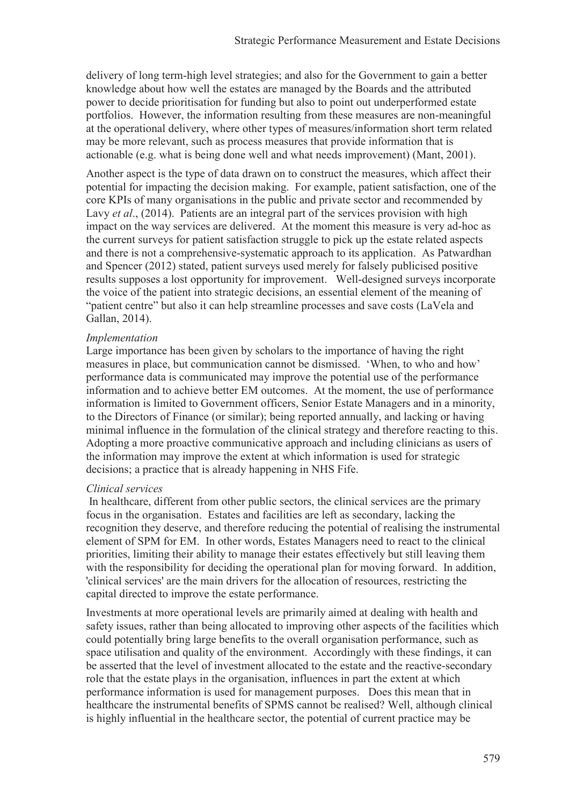delivery of long term-high level strategies; and also for the Government to gain a better knowledge about how well the estates are managed by the Boards and the attributed power to decide prioritisation for funding but also to point out underperformed estate portfolios. However, the information resulting from these measures are non-meaningful at the operational delivery, where other types of measures/information short term related may be more relevant, such as process measures that provide information that is actionable (e.g. what is being done well and what needs improvement) (Mant, 2001).

Another aspect is the type of data drawn on to construct the measures, which affect their potential for impacting the decision making. For example, patient satisfaction, one of the core KPIs of many organisations in the public and private sector and recommended by Lavy *et al.*, (2014). Patients are an integral part of the services provision with high impact on the way services are delivered. At the moment this measure is very ad-hoc as the current surveys for patient satisfaction struggle to pick up the estate related aspects and there is not a comprehensive-systematic approach to its application. As Patwardhan and Spencer (2012) stated, patient surveys used merely for falsely publicised positive results supposes a lost opportunity for improvement. Well-designed surveys incorporate the voice of the patient into strategic decisions, an essential element of the meaning of "patient centre" but also it can help streamline processes and save costs (LaVela and Gallan, 2014).

#### *Implementation*

Large importance has been given by scholars to the importance of having the right measures in place, but communication cannot be dismissed. 'When, to who and how' performance data is communicated may improve the potential use of the performance information and to achieve better EM outcomes. At the moment, the use of performance information is limited to Government officers, Senior Estate Managers and in a minority, to the Directors of Finance (or similar); being reported annually, and lacking or having minimal influence in the formulation of the clinical strategy and therefore reacting to this. Adopting a more proactive communicative approach and including clinicians as users of the information may improve the extent at which information is used for strategic decisions; a practice that is already happening in NHS Fife.

#### *Clinical services*

 In healthcare, different from other public sectors, the clinical services are the primary focus in the organisation. Estates and facilities are left as secondary, lacking the recognition they deserve, and therefore reducing the potential of realising the instrumental element of SPM for EM. In other words, Estates Managers need to react to the clinical priorities, limiting their ability to manage their estates effectively but still leaving them with the responsibility for deciding the operational plan for moving forward. In addition, 'clinical services' are the main drivers for the allocation of resources, restricting the capital directed to improve the estate performance.

Investments at more operational levels are primarily aimed at dealing with health and safety issues, rather than being allocated to improving other aspects of the facilities which could potentially bring large benefits to the overall organisation performance, such as space utilisation and quality of the environment. Accordingly with these findings, it can be asserted that the level of investment allocated to the estate and the reactive-secondary role that the estate plays in the organisation, influences in part the extent at which performance information is used for management purposes. Does this mean that in healthcare the instrumental benefits of SPMS cannot be realised? Well, although clinical is highly influential in the healthcare sector, the potential of current practice may be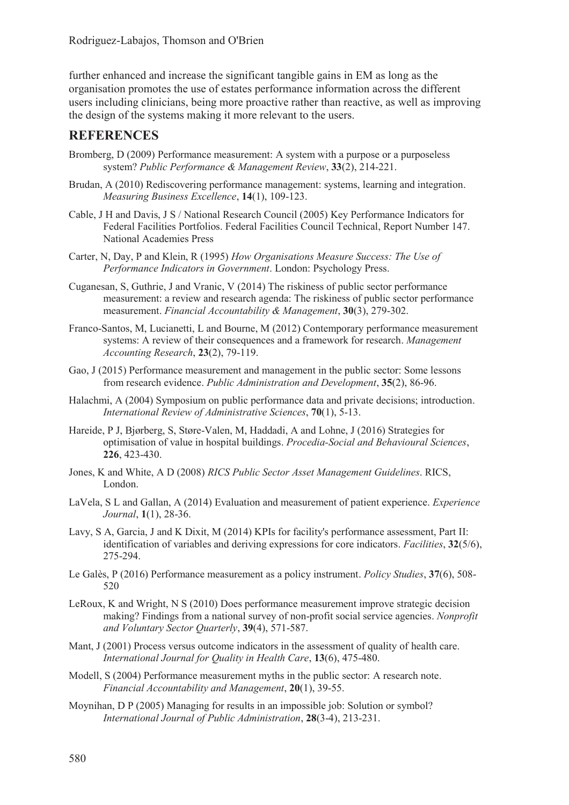further enhanced and increase the significant tangible gains in EM as long as the organisation promotes the use of estates performance information across the different users including clinicians, being more proactive rather than reactive, as well as improving the design of the systems making it more relevant to the users.

## **REFERENCES**

- Bromberg, D (2009) Performance measurement: A system with a purpose or a purposeless system? *Public Performance & Management Review*, **33**(2), 214-221.
- Brudan, A (2010) Rediscovering performance management: systems, learning and integration. *Measuring Business Excellence*, **14**(1), 109-123.
- Cable, J H and Davis, J S / National Research Council (2005) Key Performance Indicators for Federal Facilities Portfolios. Federal Facilities Council Technical, Report Number 147. National Academies Press
- Carter, N, Day, P and Klein, R (1995) *How Organisations Measure Success: The Use of Performance Indicators in Government*. London: Psychology Press.
- Cuganesan, S, Guthrie, J and Vranic, V (2014) The riskiness of public sector performance measurement: a review and research agenda: The riskiness of public sector performance measurement. *Financial Accountability & Management*, **30**(3), 279-302.
- Franco-Santos, M, Lucianetti, L and Bourne, M (2012) Contemporary performance measurement systems: A review of their consequences and a framework for research. *Management Accounting Research*, **23**(2), 79-119.
- Gao, J (2015) Performance measurement and management in the public sector: Some lessons from research evidence. *Public Administration and Development*, **35**(2), 86-96.
- Halachmi, A (2004) Symposium on public performance data and private decisions; introduction. *International Review of Administrative Sciences*, **70**(1), 5-13.
- Hareide, P J, Bjørberg, S, Støre-Valen, M, Haddadi, A and Lohne, J (2016) Strategies for optimisation of value in hospital buildings. *Procedia-Social and Behavioural Sciences*, **226**, 423-430.
- Jones, K and White, A D (2008) *RICS Public Sector Asset Management Guidelines*. RICS, London.
- LaVela, S L and Gallan, A (2014) Evaluation and measurement of patient experience. *Experience Journal*, **1**(1), 28-36.
- Lavy, S A, Garcia, J and K Dixit, M (2014) KPIs for facility's performance assessment, Part II: identification of variables and deriving expressions for core indicators. *Facilities*, **32**(5/6), 275-294.
- Le Galès, P (2016) Performance measurement as a policy instrument. *Policy Studies*, **37**(6), 508- 520
- LeRoux, K and Wright, N S (2010) Does performance measurement improve strategic decision making? Findings from a national survey of non-profit social service agencies. *Nonprofit and Voluntary Sector Quarterly*, **39**(4), 571-587.
- Mant, J (2001) Process versus outcome indicators in the assessment of quality of health care. *International Journal for Quality in Health Care*, **13**(6), 475-480.
- Modell, S (2004) Performance measurement myths in the public sector: A research note. *Financial Accountability and Management*, **20**(1), 39-55.
- Moynihan, D P (2005) Managing for results in an impossible job: Solution or symbol? *International Journal of Public Administration*, **28**(3-4), 213-231.